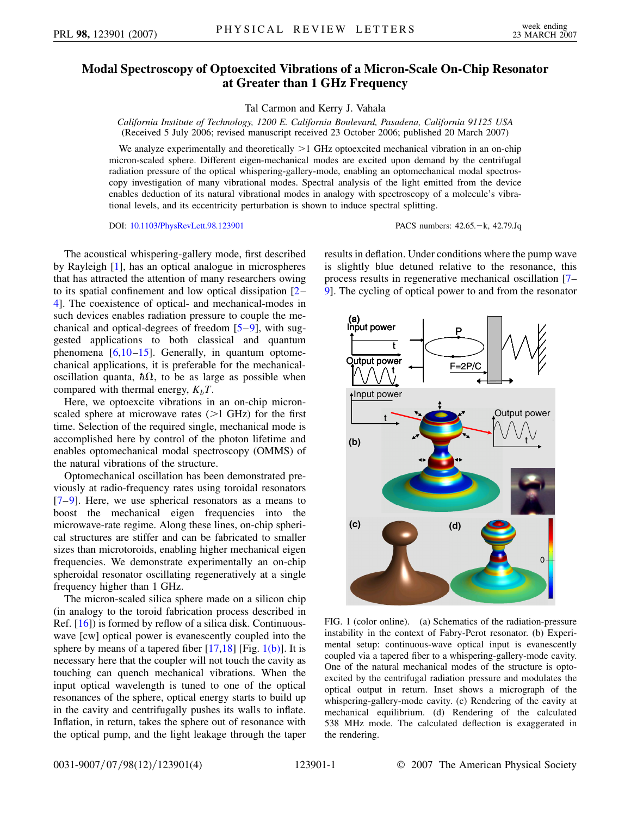## **Modal Spectroscopy of Optoexcited Vibrations of a Micron-Scale On-Chip Resonator at Greater than 1 GHz Frequency**

Tal Carmon and Kerry J. Vahala

*California Institute of Technology, 1200 E. California Boulevard, Pasadena, California 91125 USA* (Received 5 July 2006; revised manuscript received 23 October 2006; published 20 March 2007)

We analyze experimentally and theoretically *>*1 GHz optoexcited mechanical vibration in an on-chip micron-scaled sphere. Different eigen-mechanical modes are excited upon demand by the centrifugal radiation pressure of the optical whispering-gallery-mode, enabling an optomechanical modal spectroscopy investigation of many vibrational modes. Spectral analysis of the light emitted from the device enables deduction of its natural vibrational modes in analogy with spectroscopy of a molecule's vibrational levels, and its eccentricity perturbation is shown to induce spectral splitting.

DOI: [10.1103/PhysRevLett.98.123901](http://dx.doi.org/10.1103/PhysRevLett.98.123901) PACS numbers: 42.65.k, 42.79.Jq

The acoustical whispering-gallery mode, first described by Rayleigh [[1\]](#page-3-0), has an optical analogue in microspheres that has attracted the attention of many researchers owing to its spatial confinement and low optical dissipation [[2](#page-3-1)– [4](#page-3-2)]. The coexistence of optical- and mechanical-modes in such devices enables radiation pressure to couple the mechanical and optical-degrees of freedom [\[5](#page-3-3)[–9\]](#page-3-4), with suggested applications to both classical and quantum phenomena  $[6,10-15]$  $[6,10-15]$  $[6,10-15]$  $[6,10-15]$ . Generally, in quantum optomechanical applications, it is preferable for the mechanicaloscillation quanta,  $\hbar \Omega$ , to be as large as possible when compared with thermal energy,  $K_bT$ .

Here, we optoexcite vibrations in an on-chip micronscaled sphere at microwave rates (*>*1 GHz) for the first time. Selection of the required single, mechanical mode is accomplished here by control of the photon lifetime and enables optomechanical modal spectroscopy (OMMS) of the natural vibrations of the structure.

Optomechanical oscillation has been demonstrated previously at radio-frequency rates using toroidal resonators  $[7-9]$  $[7-9]$ . Here, we use spherical resonators as a means to boost the mechanical eigen frequencies into the microwave-rate regime. Along these lines, on-chip spherical structures are stiffer and can be fabricated to smaller sizes than microtoroids, enabling higher mechanical eigen frequencies. We demonstrate experimentally an on-chip spheroidal resonator oscillating regeneratively at a single frequency higher than 1 GHz.

The micron-scaled silica sphere made on a silicon chip (in analogy to the toroid fabrication process described in Ref. [[16](#page-3-9)]) is formed by reflow of a silica disk. Continuouswave [cw] optical power is evanescently coupled into the sphere by means of a tapered fiber  $[17,18]$  $[17,18]$  [Fig. [1\(b\)](#page-0-0)]. It is necessary here that the coupler will not touch the cavity as touching can quench mechanical vibrations. When the input optical wavelength is tuned to one of the optical resonances of the sphere, optical energy starts to build up in the cavity and centrifugally pushes its walls to inflate. Inflation, in return, takes the sphere out of resonance with the optical pump, and the light leakage through the taper

results in deflation. Under conditions where the pump wave is slightly blue detuned relative to the resonance, this process results in regenerative mechanical oscillation [\[7–](#page-3-8) [9](#page-3-4)]. The cycling of optical power to and from the resonator



<span id="page-0-0"></span>FIG. 1 (color online). (a) Schematics of the radiation-pressure instability in the context of Fabry-Perot resonator. (b) Experimental setup: continuous-wave optical input is evanescently coupled via a tapered fiber to a whispering-gallery-mode cavity. One of the natural mechanical modes of the structure is optoexcited by the centrifugal radiation pressure and modulates the optical output in return. Inset shows a micrograph of the whispering-gallery-mode cavity. (c) Rendering of the cavity at mechanical equilibrium. (d) Rendering of the calculated 538 MHz mode. The calculated deflection is exaggerated in the rendering.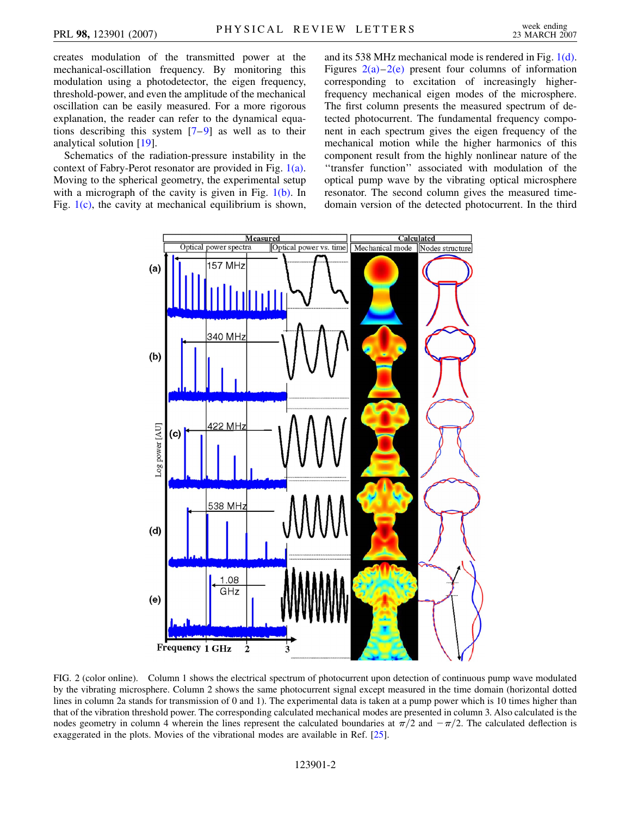creates modulation of the transmitted power at the mechanical-oscillation frequency. By monitoring this modulation using a photodetector, the eigen frequency, threshold-power, and even the amplitude of the mechanical oscillation can be easily measured. For a more rigorous explanation, the reader can refer to the dynamical equations describing this system [[7](#page-3-8)–[9\]](#page-3-4) as well as to their analytical solution [\[19\]](#page-3-12).

Schematics of the radiation-pressure instability in the context of Fabry-Perot resonator are provided in Fig. [1\(a\)](#page-0-0). Moving to the spherical geometry, the experimental setup with a micrograph of the cavity is given in Fig.  $1(b)$ . In Fig.  $1(c)$ , the cavity at mechanical equilibrium is shown, and its 538 MHz mechanical mode is rendered in Fig. [1\(d\)](#page-0-0). Figures  $2(a)-2(e)$  $2(a)-2(e)$  $2(a)-2(e)$  present four columns of information corresponding to excitation of increasingly higherfrequency mechanical eigen modes of the microsphere. The first column presents the measured spectrum of detected photocurrent. The fundamental frequency component in each spectrum gives the eigen frequency of the mechanical motion while the higher harmonics of this component result from the highly nonlinear nature of the ''transfer function'' associated with modulation of the optical pump wave by the vibrating optical microsphere resonator. The second column gives the measured timedomain version of the detected photocurrent. In the third

<span id="page-1-1"></span>

<span id="page-1-0"></span>FIG. 2 (color online). Column 1 shows the electrical spectrum of photocurrent upon detection of continuous pump wave modulated by the vibrating microsphere. Column 2 shows the same photocurrent signal except measured in the time domain (horizontal dotted lines in column 2a stands for transmission of 0 and 1). The experimental data is taken at a pump power which is 10 times higher than that of the vibration threshold power. The corresponding calculated mechanical modes are presented in column 3. Also calculated is the nodes geometry in column 4 wherein the lines represent the calculated boundaries at  $\pi/2$  and  $-\pi/2$ . The calculated deflection is exaggerated in the plots. Movies of the vibrational modes are available in Ref. [[25](#page-3-13)].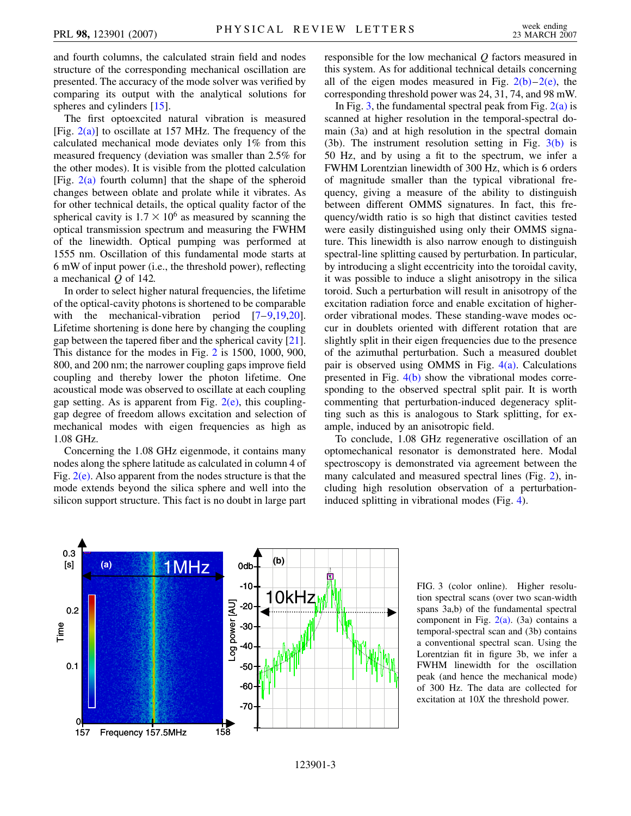and fourth columns, the calculated strain field and nodes structure of the corresponding mechanical oscillation are presented. The accuracy of the mode solver was verified by comparing its output with the analytical solutions for spheres and cylinders [\[15\]](#page-3-7).

The first optoexcited natural vibration is measured [Fig.  $2(a)$ ] to oscillate at 157 MHz. The frequency of the calculated mechanical mode deviates only 1% from this measured frequency (deviation was smaller than 2.5% for the other modes). It is visible from the plotted calculation [Fig.  $2(a)$  fourth column] that the shape of the spheroid changes between oblate and prolate while it vibrates. As for other technical details, the optical quality factor of the spherical cavity is  $1.7 \times 10^6$  as measured by scanning the optical transmission spectrum and measuring the FWHM of the linewidth. Optical pumping was performed at 1555 nm. Oscillation of this fundamental mode starts at 6 mW of input power (i.e., the threshold power), reflecting a mechanical *Q* of 142.

In order to select higher natural frequencies, the lifetime of the optical-cavity photons is shortened to be comparable with the mechanical-vibration period [[7](#page-3-8)–[9](#page-3-4)[,19](#page-3-12)[,20\]](#page-3-14). Lifetime shortening is done here by changing the coupling gap between the tapered fiber and the spherical cavity [[21\]](#page-3-15). This distance for the modes in Fig. [2](#page-1-1) is 1500, 1000, 900, 800, and 200 nm; the narrower coupling gaps improve field coupling and thereby lower the photon lifetime. One acoustical mode was observed to oscillate at each coupling gap setting. As is apparent from Fig.  $2(e)$ , this couplinggap degree of freedom allows excitation and selection of mechanical modes with eigen frequencies as high as 1.08 GHz.

Concerning the 1.08 GHz eigenmode, it contains many nodes along the sphere latitude as calculated in column 4 of Fig.  $2(e)$ . Also apparent from the nodes structure is that the mode extends beyond the silica sphere and well into the silicon support structure. This fact is no doubt in large part

responsible for the low mechanical *Q* factors measured in this system. As for additional technical details concerning all of the eigen modes measured in Fig.  $2(b)-2(e)$ , the corresponding threshold power was 24, 31, 74, and 98 mW.

In Fig. [3,](#page-2-0) the fundamental spectral peak from Fig.  $2(a)$  is scanned at higher resolution in the temporal-spectral domain (3a) and at high resolution in the spectral domain (3b). The instrument resolution setting in Fig. [3\(b\)](#page-2-1) is 50 Hz, and by using a fit to the spectrum, we infer a FWHM Lorentzian linewidth of 300 Hz, which is 6 orders of magnitude smaller than the typical vibrational frequency, giving a measure of the ability to distinguish between different OMMS signatures. In fact, this frequency/width ratio is so high that distinct cavities tested were easily distinguished using only their OMMS signature. This linewidth is also narrow enough to distinguish spectral-line splitting caused by perturbation. In particular, by introducing a slight eccentricity into the toroidal cavity, it was possible to induce a slight anisotropy in the silica toroid. Such a perturbation will result in anisotropy of the excitation radiation force and enable excitation of higherorder vibrational modes. These standing-wave modes occur in doublets oriented with different rotation that are slightly split in their eigen frequencies due to the presence of the azimuthal perturbation. Such a measured doublet pair is observed using OMMS in Fig.  $4(a)$ . Calculations presented in Fig. [4\(b\)](#page-3-16) show the vibrational modes corresponding to the observed spectral split pair. It is worth commenting that perturbation-induced degeneracy splitting such as this is analogous to Stark splitting, for example, induced by an anisotropic field.

To conclude, 1.08 GHz regenerative oscillation of an optomechanical resonator is demonstrated here. Modal spectroscopy is demonstrated via agreement between the many calculated and measured spectral lines (Fig. [2\)](#page-1-1), including high resolution observation of a perturbationinduced splitting in vibrational modes (Fig. [4\)](#page-3-17).

<span id="page-2-1"></span><span id="page-2-0"></span>

FIG. 3 (color online). Higher resolution spectral scans (over two scan-width spans 3a,b) of the fundamental spectral component in Fig.  $2(a)$ . (3a) contains a temporal-spectral scan and (3b) contains a conventional spectral scan. Using the Lorentzian fit in figure 3b, we infer a FWHM linewidth for the oscillation peak (and hence the mechanical mode) of 300 Hz. The data are collected for excitation at 10*X* the threshold power.